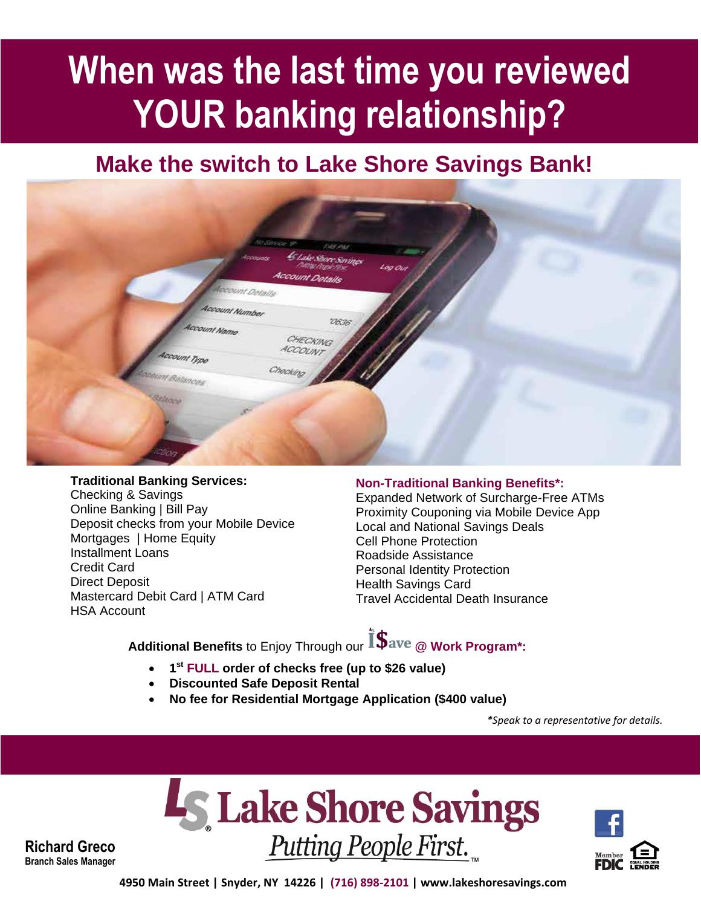# **When was the last time you reviewed YOUR banking relationship?**

### **Make the switch to Lake Shore Savings Bank!**



#### **Traditional Banking Services:**

Checking & Savings Online Banking | Bill Pay Deposit checks from your Mobile Device Mortgages | Home Equity Installment Loans Credit Card Direct Deposit Mastercard Debit Card | ATM Card HSA Account

#### **Non-Traditional Banking Benefits\*:**

Expanded Network of Surcharge-Free ATMs Proximity Couponing via Mobile Device App Local and National Savings Deals Cell Phone Protection Roadside Assistance Personal Identity Protection Health Savings Card Travel Accidental Death Insurance

**Additional Benefits** to Enjoy Through our **@ Work Program\*:**

- **1 st FULL order of checks free (up to \$26 value)**
- **Discounted Safe Deposit Rental**
- **No fee for Residential Mortgage Application (\$400 value)**

*\*Speak to a representative for details.*





**Richard Greco Branch Sales Manager**